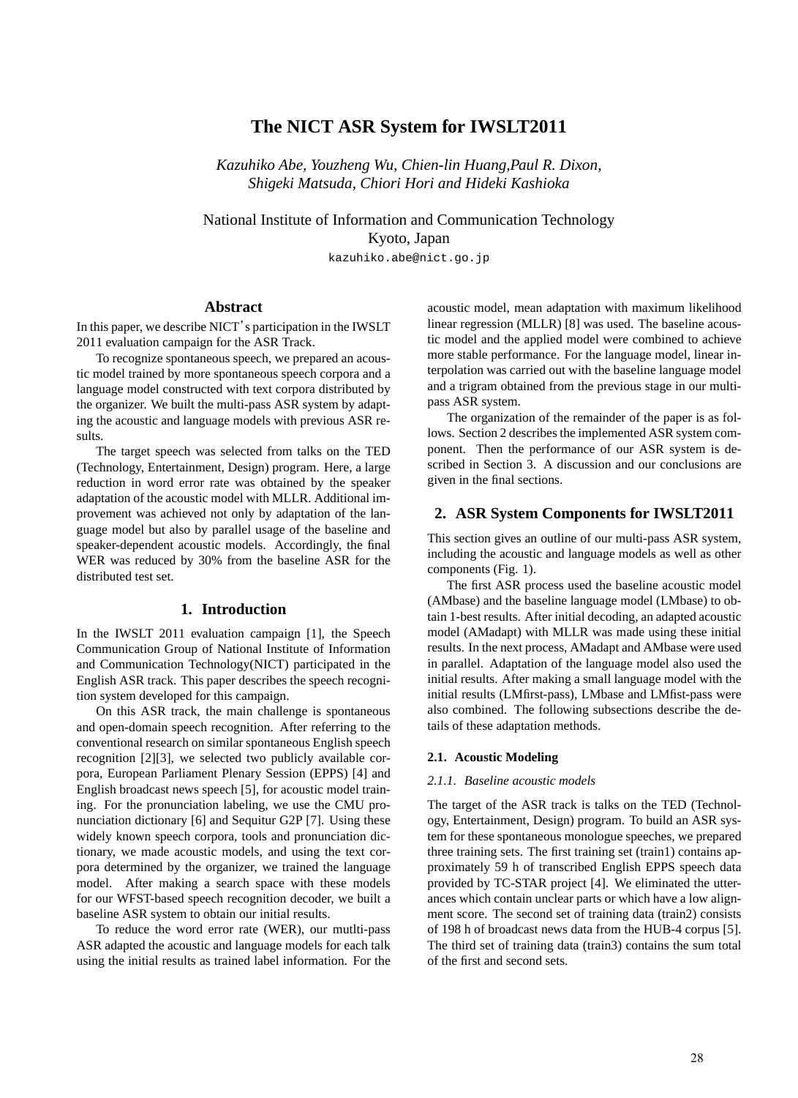# **The NICT ASR System for IWSLT2011**

*Kazuhiko Abe, Youzheng Wu, Chien-lin Huang,Paul R. Dixon, Shigeki Matsuda, Chiori Hori and Hideki Kashioka*

National Institute of Information and Communication Technology Kyoto, Japan kazuhiko.abe@nict.go.jp

## **Abstract**

In this paper, we describe NICT's participation in the IWSLT 2011 evaluation campaign for the ASR Track.

To recognize spontaneous speech, we prepared an acoustic model trained by more spontaneous speech corpora and a language model constructed with text corpora distributed by the organizer. We built the multi-pass ASR system by adapting the acoustic and language models with previous ASR results.

The target speech was selected from talks on the TED (Technology, Entertainment, Design) program. Here, a large reduction in word error rate was obtained by the speaker adaptation of the acoustic model with MLLR. Additional improvement was achieved not only by adaptation of the language model but also by parallel usage of the baseline and speaker-dependent acoustic models. Accordingly, the final WER was reduced by 30% from the baseline ASR for the distributed test set.

### **1. Introduction**

In the IWSLT 2011 evaluation campaign [1], the Speech Communication Group of National Institute of Information and Communication Technology(NICT) participated in the English ASR track. This paper describes the speech recognition system developed for this campaign.

On this ASR track, the main challenge is spontaneous and open-domain speech recognition. After referring to the conventional research on similar spontaneous English speech recognition [2][3], we selected two publicly available corpora, European Parliament Plenary Session (EPPS) [4] and English broadcast news speech [5], for acoustic model training. For the pronunciation labeling, we use the CMU pronunciation dictionary [6] and Sequitur G2P [7]. Using these widely known speech corpora, tools and pronunciation dictionary, we made acoustic models, and using the text corpora determined by the organizer, we trained the language model. After making a search space with these models for our WFST-based speech recognition decoder, we built a baseline ASR system to obtain our initial results.

To reduce the word error rate (WER), our mutlti-pass ASR adapted the acoustic and language models for each talk using the initial results as trained label information. For the acoustic model, mean adaptation with maximum likelihood linear regression (MLLR) [8] was used. The baseline acoustic model and the applied model were combined to achieve more stable performance. For the language model, linear interpolation was carried out with the baseline language model and a trigram obtained from the previous stage in our multipass ASR system.

The organization of the remainder of the paper is as follows. Section 2 describes the implemented ASR system component. Then the performance of our ASR system is described in Section 3. A discussion and our conclusions are given in the final sections.

### **2. ASR System Components for IWSLT2011**

This section gives an outline of our multi-pass ASR system, including the acoustic and language models as well as other components (Fig. 1).

The first ASR process used the baseline acoustic model (AMbase) and the baseline language model (LMbase) to obtain 1-best results. After initial decoding, an adapted acoustic model (AMadapt) with MLLR was made using these initial results. In the next process, AMadapt and AMbase were used in parallel. Adaptation of the language model also used the initial results. After making a small language model with the initial results (LMfirst-pass), LMbase and LMfist-pass were also combined. The following subsections describe the details of these adaptation methods.

### **2.1. Acoustic Modeling**

#### *2.1.1. Baseline acoustic models*

The target of the ASR track is talks on the TED (Technology, Entertainment, Design) program. To build an ASR system for these spontaneous monologue speeches, we prepared three training sets. The first training set (train1) contains approximately 59 h of transcribed English EPPS speech data provided by TC-STAR project [4]. We eliminated the utterances which contain unclear parts or which have a low alignment score. The second set of training data (train2) consists of 198 h of broadcast news data from the HUB-4 corpus [5]. The third set of training data (train3) contains the sum total of the first and second sets.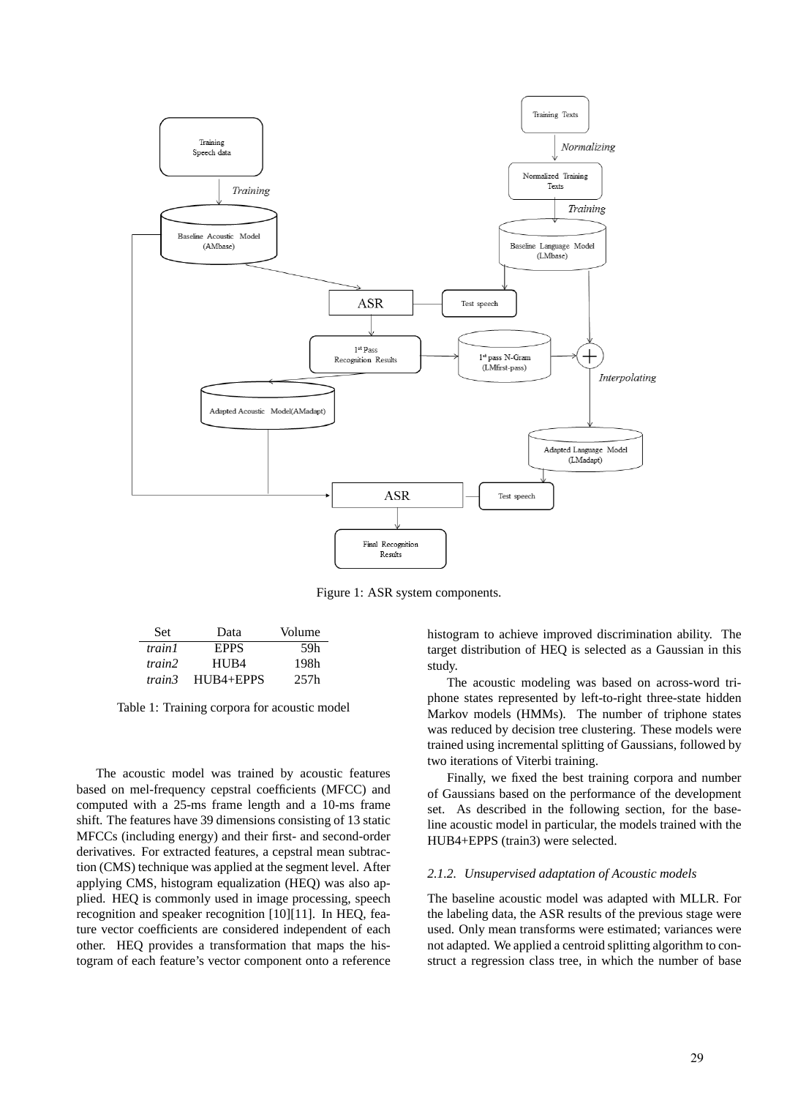

Figure 1: ASR system components.

| Set    | Data             | Volume |
|--------|------------------|--------|
| train1 | <b>EPPS</b>      | 59h    |
| train2 | HU <sub>B4</sub> | 198h   |
| train3 | $HIJB4 + EPPS$   | 257h   |

Table 1: Training corpora for acoustic model

The acoustic model was trained by acoustic features based on mel-frequency cepstral coefficients (MFCC) and computed with a 25-ms frame length and a 10-ms frame shift. The features have 39 dimensions consisting of 13 static MFCCs (including energy) and their first- and second-order derivatives. For extracted features, a cepstral mean subtraction (CMS) technique was applied at the segment level. After applying CMS, histogram equalization (HEQ) was also applied. HEQ is commonly used in image processing, speech recognition and speaker recognition [10][11]. In HEQ, feature vector coefficients are considered independent of each other. HEQ provides a transformation that maps the histogram of each feature's vector component onto a reference histogram to achieve improved discrimination ability. The target distribution of HEQ is selected as a Gaussian in this study.

The acoustic modeling was based on across-word triphone states represented by left-to-right three-state hidden Markov models (HMMs). The number of triphone states was reduced by decision tree clustering. These models were trained using incremental splitting of Gaussians, followed by two iterations of Viterbi training.

Finally, we fixed the best training corpora and number of Gaussians based on the performance of the development set. As described in the following section, for the baseline acoustic model in particular, the models trained with the HUB4+EPPS (train3) were selected.

#### *2.1.2. Unsupervised adaptation of Acoustic models*

The baseline acoustic model was adapted with MLLR. For the labeling data, the ASR results of the previous stage were used. Only mean transforms were estimated; variances were not adapted. We applied a centroid splitting algorithm to construct a regression class tree, in which the number of base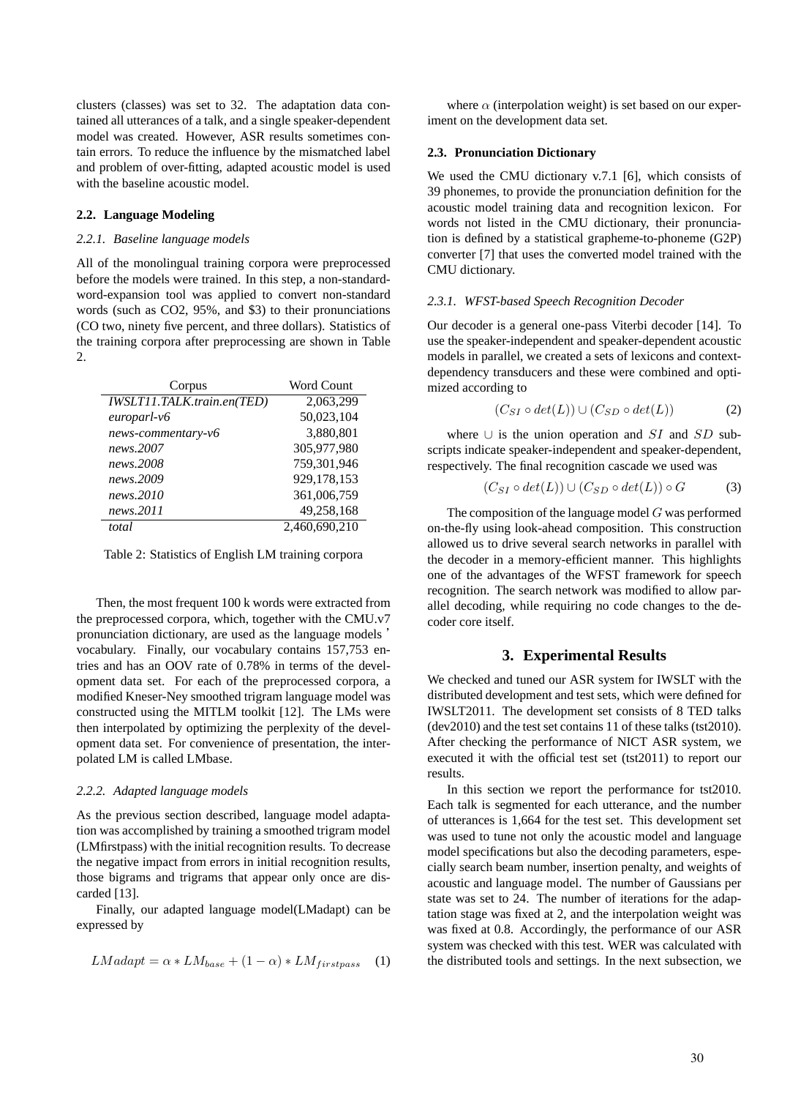clusters (classes) was set to 32. The adaptation data contained all utterances of a talk, and a single speaker-dependent model was created. However, ASR results sometimes contain errors. To reduce the influence by the mismatched label and problem of over-fitting, adapted acoustic model is used with the baseline acoustic model.

### **2.2. Language Modeling**

#### *2.2.1. Baseline language models*

All of the monolingual training corpora were preprocessed before the models were trained. In this step, a non-standardword-expansion tool was applied to convert non-standard words (such as CO2, 95%, and \$3) to their pronunciations (CO two, ninety five percent, and three dollars). Statistics of the training corpora after preprocessing are shown in Table 2.

| Corpus                     | <b>Word Count</b> |
|----------------------------|-------------------|
| IWSLT11.TALK.train.en(TED) | 2.063.299         |
| $\textit{europarl-v6}$     | 50,023,104        |
| news-commentary-v6         | 3,880,801         |
| news.2007                  | 305,977,980       |
| news.2008                  | 759,301,946       |
| news.2009                  | 929,178,153       |
| news.2010                  | 361,006,759       |
| news.2011                  | 49,258,168        |
| total                      | 2.460.690.210     |

Table 2: Statistics of English LM training corpora

Then, the most frequent 100 k words were extracted from the preprocessed corpora, which, together with the CMU.v7 pronunciation dictionary, are used as the language models ' vocabulary. Finally, our vocabulary contains 157,753 entries and has an OOV rate of 0.78% in terms of the development data set. For each of the preprocessed corpora, a modified Kneser-Ney smoothed trigram language model was constructed using the MITLM toolkit [12]. The LMs were then interpolated by optimizing the perplexity of the development data set. For convenience of presentation, the interpolated LM is called LMbase.

#### *2.2.2. Adapted language models*

As the previous section described, language model adaptation was accomplished by training a smoothed trigram model (LMfirstpass) with the initial recognition results. To decrease the negative impact from errors in initial recognition results, those bigrams and trigrams that appear only once are discarded [13].

Finally, our adapted language model(LMadapt) can be expressed by

$$
LMadapt = \alpha * LM_{base} + (1 - \alpha) * LM_{firstpass} \quad (1)
$$

where  $\alpha$  (interpolation weight) is set based on our experiment on the development data set.

### **2.3. Pronunciation Dictionary**

We used the CMU dictionary v.7.1 [6], which consists of 39 phonemes, to provide the pronunciation definition for the acoustic model training data and recognition lexicon. For words not listed in the CMU dictionary, their pronunciation is defined by a statistical grapheme-to-phoneme (G2P) converter [7] that uses the converted model trained with the CMU dictionary.

### *2.3.1. WFST-based Speech Recognition Decoder*

Our decoder is a general one-pass Viterbi decoder [14]. To use the speaker-independent and speaker-dependent acoustic models in parallel, we created a sets of lexicons and contextdependency transducers and these were combined and optimized according to

$$
(C_{SI} \circ det(L)) \cup (C_{SD} \circ det(L)) \tag{2}
$$

where *∪* is the union operation and *SI* and *SD* subscripts indicate speaker-independent and speaker-dependent, respectively. The final recognition cascade we used was

$$
(C_{SI} \circ det(L)) \cup (C_{SD} \circ det(L)) \circ G \tag{3}
$$

The composition of the language model *G* was performed on-the-fly using look-ahead composition. This construction allowed us to drive several search networks in parallel with the decoder in a memory-efficient manner. This highlights one of the advantages of the WFST framework for speech recognition. The search network was modified to allow parallel decoding, while requiring no code changes to the decoder core itself.

## **3. Experimental Results**

We checked and tuned our ASR system for IWSLT with the distributed development and test sets, which were defined for IWSLT2011. The development set consists of 8 TED talks (dev2010) and the test set contains 11 of these talks (tst2010). After checking the performance of NICT ASR system, we executed it with the official test set (tst2011) to report our results.

In this section we report the performance for tst2010. Each talk is segmented for each utterance, and the number of utterances is 1,664 for the test set. This development set was used to tune not only the acoustic model and language model specifications but also the decoding parameters, especially search beam number, insertion penalty, and weights of acoustic and language model. The number of Gaussians per state was set to 24. The number of iterations for the adaptation stage was fixed at 2, and the interpolation weight was was fixed at 0.8. Accordingly, the performance of our ASR system was checked with this test. WER was calculated with the distributed tools and settings. In the next subsection, we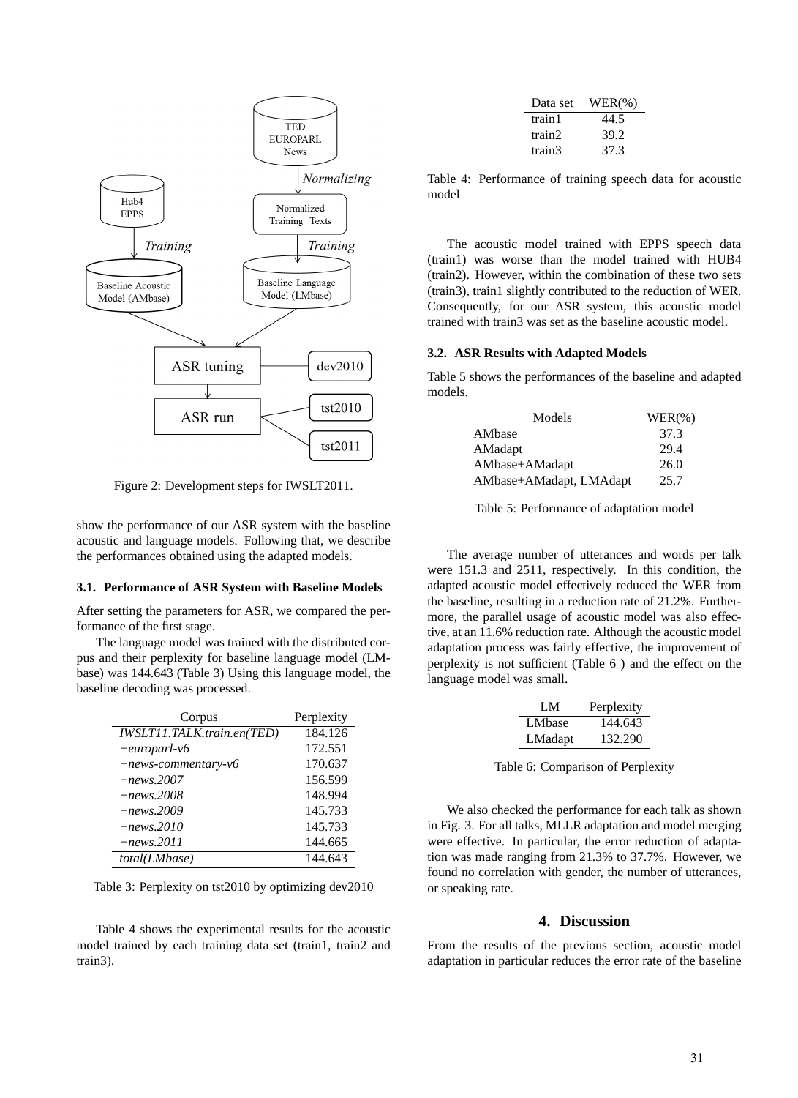

Figure 2: Development steps for IWSLT2011.

show the performance of our ASR system with the baseline acoustic and language models. Following that, we describe the performances obtained using the adapted models.

#### **3.1. Performance of ASR System with Baseline Models**

After setting the parameters for ASR, we compared the performance of the first stage.

The language model was trained with the distributed corpus and their perplexity for baseline language model (LMbase) was 144.643 (Table 3) Using this language model, the baseline decoding was processed.

| Corpus                     | Perplexity |
|----------------------------|------------|
| IWSLT11.TALK.train.en(TED) | 184.126    |
| $+europarl-v6$             | 172.551    |
| $+ news-commentary-v6$     | 170.637    |
| $+ news.2007$              | 156.599    |
| $+ news.2008$              | 148.994    |
| $+ news.2009$              | 145.733    |
| $+ news.2010$              | 145.733    |
| $+ news. 2011$             | 144.665    |
| total(LMbase)              | 144.643    |

Table 3: Perplexity on tst2010 by optimizing dev2010

Table 4 shows the experimental results for the acoustic model trained by each training data set (train1, train2 and train3).

| Data set | $WER(\%)$ |
|----------|-----------|
| train1   | 44.5      |
| train2   | 39.2      |
| train3   | 37.3      |

Table 4: Performance of training speech data for acoustic model

The acoustic model trained with EPPS speech data (train1) was worse than the model trained with HUB4 (train2). However, within the combination of these two sets (train3), train1 slightly contributed to the reduction of WER. Consequently, for our ASR system, this acoustic model trained with train3 was set as the baseline acoustic model.

#### **3.2. ASR Results with Adapted Models**

Table 5 shows the performances of the baseline and adapted models.

| Models                  | $WER(\% )$ |
|-------------------------|------------|
| AMbase                  | 37.3       |
| AMadapt                 | 29.4       |
| AMbase+AMadapt          | 26.0       |
| AMbase+AMadapt, LMAdapt | 25.7       |

Table 5: Performance of adaptation model

The average number of utterances and words per talk were 151.3 and 2511, respectively. In this condition, the adapted acoustic model effectively reduced the WER from the baseline, resulting in a reduction rate of 21.2%. Furthermore, the parallel usage of acoustic model was also effective, at an 11.6% reduction rate. Although the acoustic model adaptation process was fairly effective, the improvement of perplexity is not sufficient (Table 6 ) and the effect on the language model was small.

| LM.     | Perplexity |
|---------|------------|
| LMbase  | 144.643    |
| LMadapt | 132.290    |

Table 6: Comparison of Perplexity

We also checked the performance for each talk as shown in Fig. 3. For all talks, MLLR adaptation and model merging were effective. In particular, the error reduction of adaptation was made ranging from 21.3% to 37.7%. However, we found no correlation with gender, the number of utterances, or speaking rate.

## **4. Discussion**

From the results of the previous section, acoustic model adaptation in particular reduces the error rate of the baseline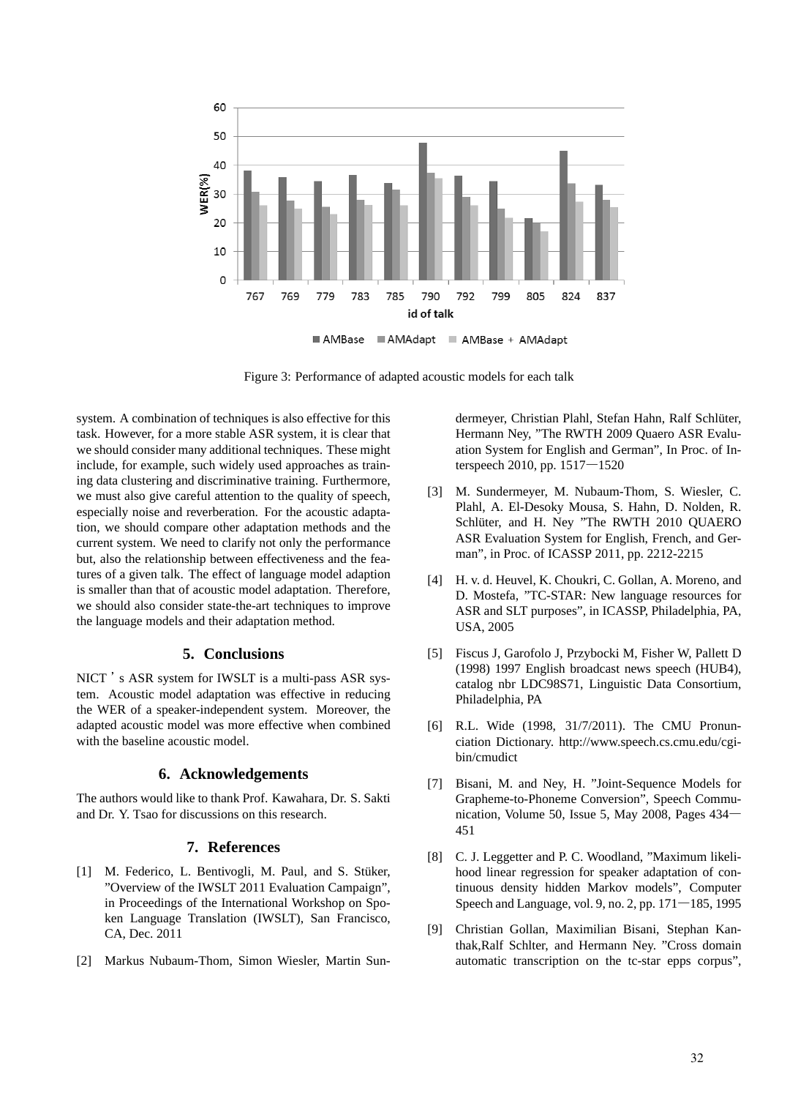

Figure 3: Performance of adapted acoustic models for each talk

system. A combination of techniques is also effective for this task. However, for a more stable ASR system, it is clear that we should consider many additional techniques. These might include, for example, such widely used approaches as training data clustering and discriminative training. Furthermore, we must also give careful attention to the quality of speech, especially noise and reverberation. For the acoustic adaptation, we should compare other adaptation methods and the current system. We need to clarify not only the performance but, also the relationship between effectiveness and the features of a given talk. The effect of language model adaption is smaller than that of acoustic model adaptation. Therefore, we should also consider state-the-art techniques to improve the language models and their adaptation method.

## **5. Conclusions**

NICT 's ASR system for IWSLT is a multi-pass ASR system. Acoustic model adaptation was effective in reducing the WER of a speaker-independent system. Moreover, the adapted acoustic model was more effective when combined with the baseline acoustic model.

### **6. Acknowledgements**

The authors would like to thank Prof. Kawahara, Dr. S. Sakti and Dr. Y. Tsao for discussions on this research.

## **7. References**

- [1] M. Federico, L. Bentivogli, M. Paul, and S. Stüker, "Overview of the IWSLT 2011 Evaluation Campaign", in Proceedings of the International Workshop on Spoken Language Translation (IWSLT), San Francisco, CA, Dec. 2011
- [2] Markus Nubaum-Thom, Simon Wiesler, Martin Sun-

dermeyer, Christian Plahl, Stefan Hahn, Ralf Schlüter, Hermann Ney, "The RWTH 2009 Quaero ASR Evaluation System for English and German", In Proc. of Interspeech 2010, pp. 1517―1520

- [3] M. Sundermeyer, M. Nubaum-Thom, S. Wiesler, C. Plahl, A. El-Desoky Mousa, S. Hahn, D. Nolden, R. Schlüter, and H. Ney "The RWTH 2010 QUAERO ASR Evaluation System for English, French, and German", in Proc. of ICASSP 2011, pp. 2212-2215
- [4] H. v. d. Heuvel, K. Choukri, C. Gollan, A. Moreno, and D. Mostefa, "TC-STAR: New language resources for ASR and SLT purposes", in ICASSP, Philadelphia, PA, USA, 2005
- [5] Fiscus J, Garofolo J, Przybocki M, Fisher W, Pallett D (1998) 1997 English broadcast news speech (HUB4), catalog nbr LDC98S71, Linguistic Data Consortium, Philadelphia, PA
- [6] R.L. Wide (1998, 31/7/2011). The CMU Pronunciation Dictionary. http://www.speech.cs.cmu.edu/cgibin/cmudict
- [7] Bisani, M. and Ney, H. "Joint-Sequence Models for Grapheme-to-Phoneme Conversion", Speech Communication, Volume 50, Issue 5, May 2008, Pages 434― 451
- [8] C. J. Leggetter and P. C. Woodland, "Maximum likelihood linear regression for speaker adaptation of continuous density hidden Markov models", Computer Speech and Language, vol. 9, no. 2, pp. 171―185, 1995
- [9] Christian Gollan, Maximilian Bisani, Stephan Kanthak,Ralf Schlter, and Hermann Ney. "Cross domain automatic transcription on the tc-star epps corpus",